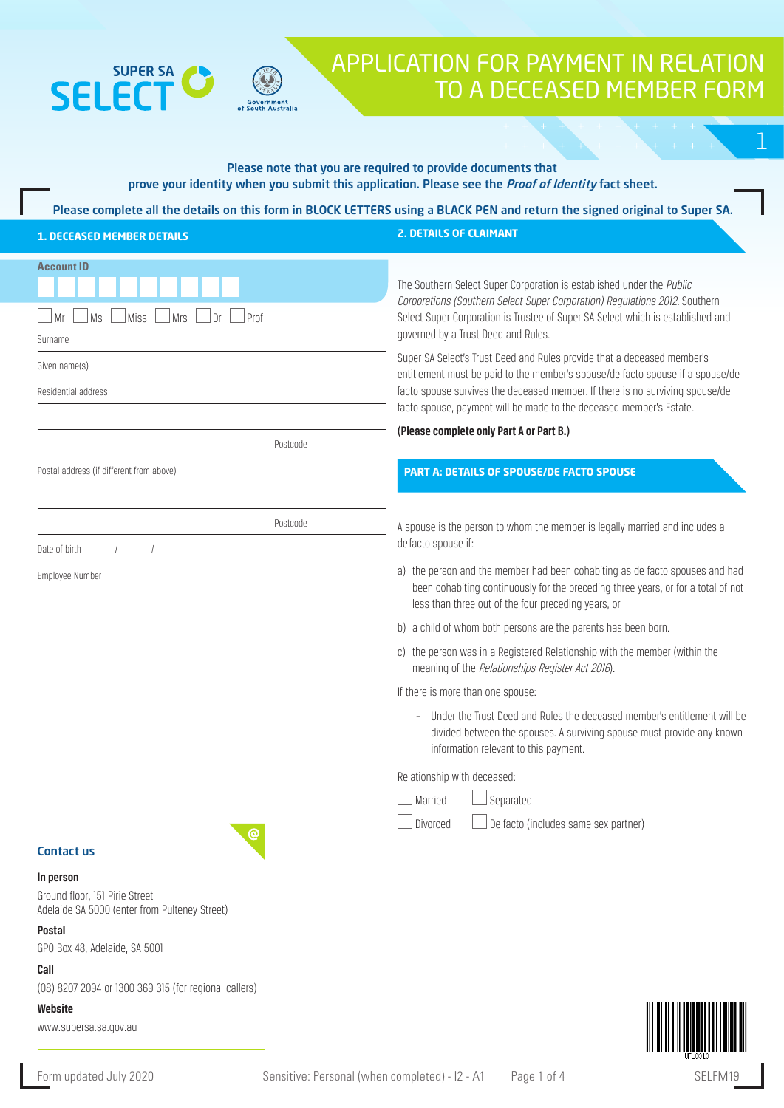

 $\mathbf{C}$ 

# APPLICATION FOR PAYMENT IN RELATION TO A DECEASED MEMBER FORM

# Please note that you are required to provide documents that prove your identity when you submit this application. Please see the *Proof of Identity* fact sheet.

Please complete all the details on this form in BLOCK LETTERS using a BLACK PEN and return the signed original to Super SA.

| <b>1. DECEASED MEMBER DETAILS</b>                                                                                                              | <b>2. DETAILS OF CLAIMANT</b>                                                                                                                                                                                                                                                                                     |  |
|------------------------------------------------------------------------------------------------------------------------------------------------|-------------------------------------------------------------------------------------------------------------------------------------------------------------------------------------------------------------------------------------------------------------------------------------------------------------------|--|
| <b>Account ID</b><br>Ms<br>Miss<br><b>Mrs</b><br>Dr<br>Prof<br>Mr<br>Surname                                                                   | The Southern Select Super Corporation is established under the Public<br>Corporations (Southern Select Super Corporation) Regulations 2012. Southern<br>Select Super Corporation is Trustee of Super SA Select which is established and<br>governed by a Trust Deed and Rules.                                    |  |
| Given name(s)<br>Residential address                                                                                                           | Super SA Select's Trust Deed and Rules provide that a deceased member's<br>entitlement must be paid to the member's spouse/de facto spouse if a spouse/de<br>facto spouse survives the deceased member. If there is no surviving spouse/de<br>facto spouse, payment will be made to the deceased member's Estate. |  |
| Postcode                                                                                                                                       | (Please complete only Part A or Part B.)                                                                                                                                                                                                                                                                          |  |
| Postal address (if different from above)                                                                                                       | <b>PART A: DETAILS OF SPOUSE/DE FACTO SPOUSE</b>                                                                                                                                                                                                                                                                  |  |
| Postcode<br>Date of birth                                                                                                                      | A spouse is the person to whom the member is legally married and includes a<br>de facto spouse if:                                                                                                                                                                                                                |  |
| Employee Number                                                                                                                                | a) the person and the member had been cohabiting as de facto spouses and had<br>been cohabiting continuously for the preceding three years, or for a total of not<br>less than three out of the four preceding years, or                                                                                          |  |
|                                                                                                                                                | b) a child of whom both persons are the parents has been born.                                                                                                                                                                                                                                                    |  |
|                                                                                                                                                | c) the person was in a Registered Relationship with the member (within the<br>meaning of the Relationships Register Act 2016).                                                                                                                                                                                    |  |
|                                                                                                                                                | If there is more than one spouse:                                                                                                                                                                                                                                                                                 |  |
|                                                                                                                                                | Under the Trust Deed and Rules the deceased member's entitlement will be<br>$\overline{\phantom{a}}$<br>divided between the spouses. A surviving spouse must provide any known<br>information relevant to this payment.                                                                                           |  |
|                                                                                                                                                | Relationship with deceased:                                                                                                                                                                                                                                                                                       |  |
|                                                                                                                                                | Married<br>Separated                                                                                                                                                                                                                                                                                              |  |
| @<br><b>Contact us</b>                                                                                                                         | De facto (includes same sex partner)<br>Divorced                                                                                                                                                                                                                                                                  |  |
| In person<br>Ground floor, 151 Pirie Street<br>Adelaide SA 5000 (enter from Pulteney Street)<br><b>Postal</b><br>GPO Box 48, Adelaide, SA 5001 |                                                                                                                                                                                                                                                                                                                   |  |
| Call                                                                                                                                           |                                                                                                                                                                                                                                                                                                                   |  |
| (08) 8207 2094 or 1300 369 315 (for regional callers)<br>Website                                                                               | <u> Ali alii ali aanaan ammani m</u>                                                                                                                                                                                                                                                                              |  |

www.supersa.sa.gov.au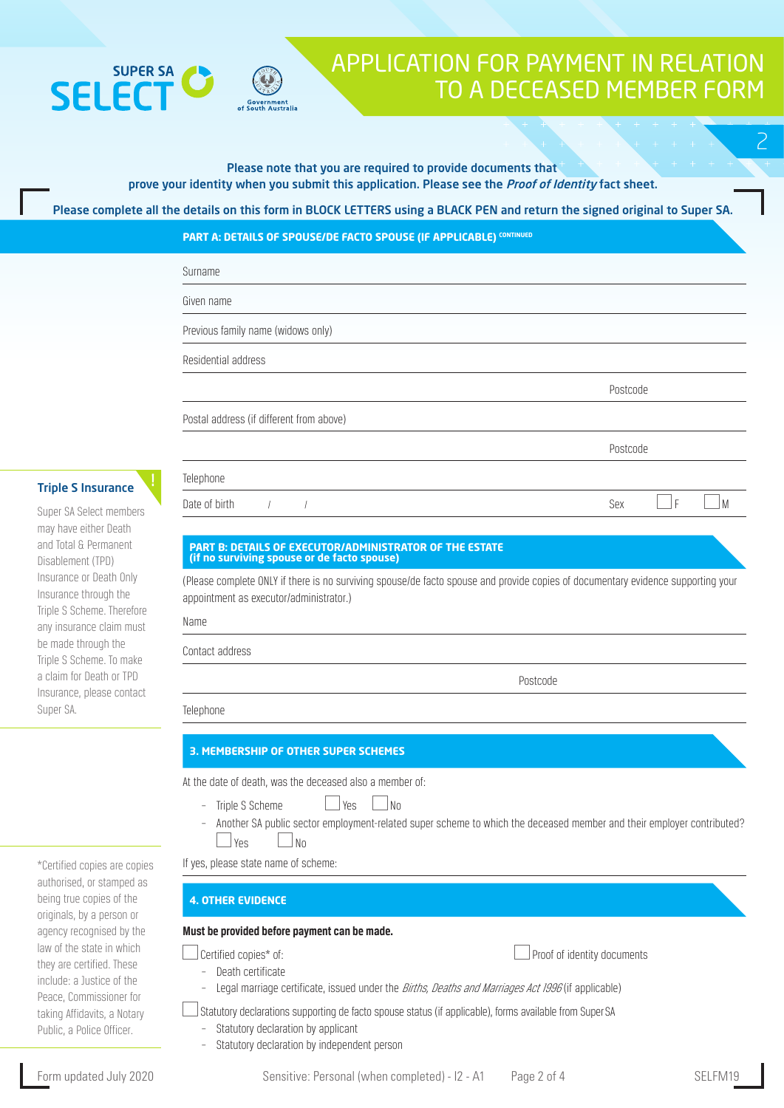# **SUPER SA SFIFC**



# APPLICATION FOR PAYMENT IN RELATION TO A DECEASED MEMBER FORM

2

#### Please note that you are required to provide documents that prove your identity when you submit this application. Please see the *Proof of Identity* fact sheet.

Please complete all the details on this form in BLOCK LETTERS using a BLACK PEN and return the signed original to Super SA.

**PART A: DETAILS OF SPOUSE/DE FACTO SPOUSE (IF APPLICABLE) CONTINUED** 

| Surname                                  |          |
|------------------------------------------|----------|
| Given name                               |          |
| Previous family name (widows only)       |          |
| Residential address                      |          |
|                                          | Postcode |
| Postal address (if different from above) |          |
|                                          | Postcode |
| Telephone                                |          |

### Triple S Insurance

Super SA Select members may have either Death and Total & Permanent Disablement (TPD) Insurance or Death Only Insurance through the Triple S Scheme. Therefore any insurance claim must be made through the Triple S Scheme. To make a claim for Death or TPD Insurance, please contact Super SA.

#### **PART B: DETAILS OF EXECUTOR/ADMINISTRATOR OF THE ESTATE (if no surviving spouse or de facto spouse)**

(Please complete ONLY if there is no surviving spouse/de facto spouse and provide copies of documentary evidence supporting your appointment as executor/administrator.)

Date of birth  $\begin{array}{ccc} \text{1} & \text{1} & \text{1} & \text{1} & \text{1} & \text{1} & \text{1} & \text{1} & \text{1} & \text{1} & \text{1} & \text{1} & \text{1} & \text{1} & \text{1} & \text{1} & \text{1} & \text{1} & \text{1} & \text{1} & \text{1} & \text{1} & \text{1} & \text{1} & \text{1} & \text{1} & \text{1} & \text{1} & \text{1} & \text{1} & \text{1} & \text{1} & \text{1} & \$ 

Name

Contact address

Postcode

Telephone

## **3. MEMBERSHIP OF OTHER SUPER SCHEMES**

At the date of death, was the deceased also a member of:

- $\frac{1}{2}$  Triple S Scheme  $\frac{1}{2}$  Yes  $\frac{1}{2}$  No
- Another SA public sector employment-related super scheme to which the deceased member and their employer contributed?  $\Box$  Yes  $\Box$  No

If yes, please state name of scheme:

## **4. OTHER EVIDENCE**

### **Must be provided before payment can be made.**

 $\Box$  Proof of identity documents

- Death certificate
	- Legal marriage certificate, issued under the Births, Deaths and Marriages Act 1996 (if applicable)

 $\Box$  Statutory declarations supporting de facto spouse status (if applicable), forms available from Super SA

- Statutory declaration by applicant
- Statutory declaration by independent person

\*Certified copies are copies authorised, or stamped as being true copies of the originals, by a person or agency recognised by the law of the state in which they are certified. These include: a Justice of the Peace, Commissioner for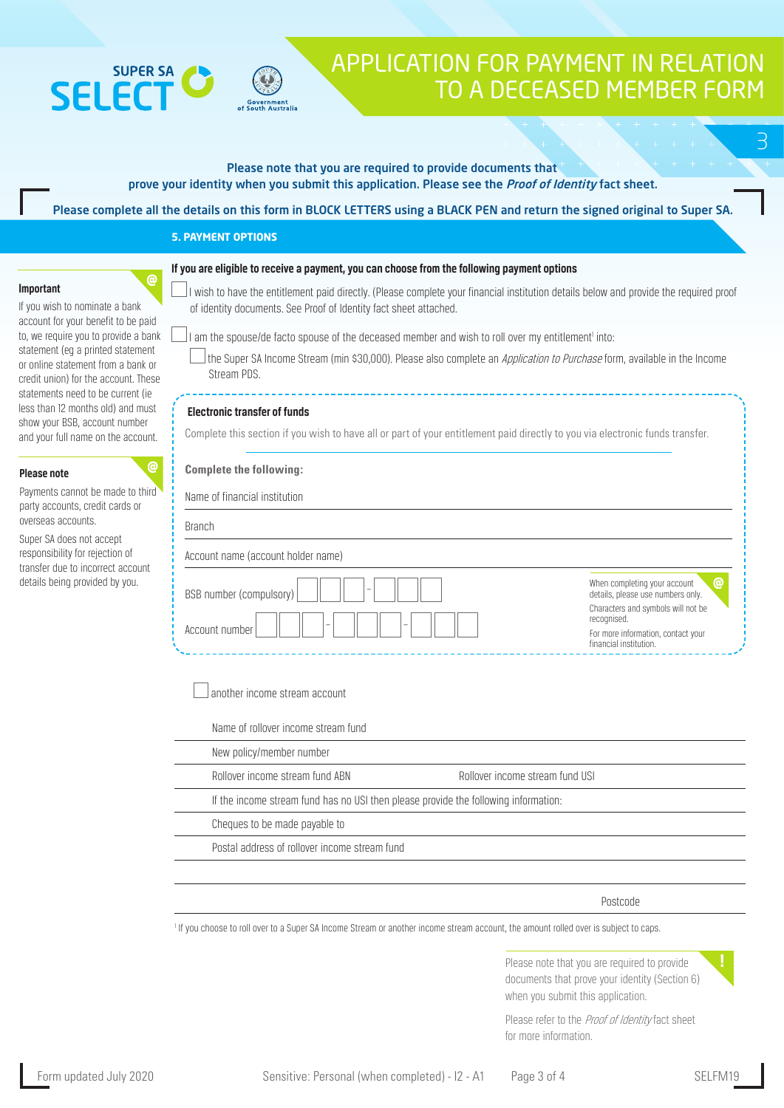



3

| If you are eligible to receive a payment, you can choose from the following payment options<br>@<br>Important<br>If you wish to nominate a bank<br>of identity documents. See Proof of Identity fact sheet attached.<br>to, we require you to provide a bank<br>I am the spouse/de facto spouse of the deceased member and wish to roll over my entitlement <sup>i</sup> into:<br>statement (eq a printed statement<br>the Super SA Income Stream (min \$30,000). Please also complete an Application to Purchase form, available in the Income<br>or online statement from a bank or<br>Stream PDS.<br>credit union) for the account. These<br>statements need to be current (ie<br>less than 12 months old) and must<br><b>Electronic transfer of funds</b><br>show your BSB, account number<br>Complete this section if you wish to have all or part of your entitlement paid directly to you via electronic funds transfer.<br>and your full name on the account.<br>@<br><b>Complete the following:</b><br><b>Please note</b><br>Payments cannot be made to third<br>Name of financial institution<br>party accounts, credit cards or<br>overseas accounts.<br><b>Branch</b><br>Super SA does not accept<br>responsibility for rejection of<br>Account name (account holder name)<br>transfer due to incorrect account<br>details being provided by you.<br>When completing your account<br>BSB number (compulsory)<br>details, please use numbers only.<br>Characters and symbols will not be<br>recognised.<br>Account number<br>For more information, contact your<br>financial institution.<br>another income stream account<br>Name of rollover income stream fund<br>New policy/member number<br>Rollover income stream fund ABN<br>Rollover income stream fund USI |                                     | Please complete all the details on this form in BLOCK LETTERS using a BLACK PEN and return the signed original to Super SA.<br><b>5. PAYMENT OPTIONS</b> |   |  |
|--------------------------------------------------------------------------------------------------------------------------------------------------------------------------------------------------------------------------------------------------------------------------------------------------------------------------------------------------------------------------------------------------------------------------------------------------------------------------------------------------------------------------------------------------------------------------------------------------------------------------------------------------------------------------------------------------------------------------------------------------------------------------------------------------------------------------------------------------------------------------------------------------------------------------------------------------------------------------------------------------------------------------------------------------------------------------------------------------------------------------------------------------------------------------------------------------------------------------------------------------------------------------------------------------------------------------------------------------------------------------------------------------------------------------------------------------------------------------------------------------------------------------------------------------------------------------------------------------------------------------------------------------------------------------------------------------------------------------------------------------------------------------------|-------------------------------------|----------------------------------------------------------------------------------------------------------------------------------------------------------|---|--|
|                                                                                                                                                                                                                                                                                                                                                                                                                                                                                                                                                                                                                                                                                                                                                                                                                                                                                                                                                                                                                                                                                                                                                                                                                                                                                                                                                                                                                                                                                                                                                                                                                                                                                                                                                                                |                                     |                                                                                                                                                          |   |  |
|                                                                                                                                                                                                                                                                                                                                                                                                                                                                                                                                                                                                                                                                                                                                                                                                                                                                                                                                                                                                                                                                                                                                                                                                                                                                                                                                                                                                                                                                                                                                                                                                                                                                                                                                                                                | account for your benefit to be paid | I wish to have the entitlement paid directly. (Please complete your financial institution details below and provide the required proof                   |   |  |
|                                                                                                                                                                                                                                                                                                                                                                                                                                                                                                                                                                                                                                                                                                                                                                                                                                                                                                                                                                                                                                                                                                                                                                                                                                                                                                                                                                                                                                                                                                                                                                                                                                                                                                                                                                                |                                     |                                                                                                                                                          |   |  |
|                                                                                                                                                                                                                                                                                                                                                                                                                                                                                                                                                                                                                                                                                                                                                                                                                                                                                                                                                                                                                                                                                                                                                                                                                                                                                                                                                                                                                                                                                                                                                                                                                                                                                                                                                                                |                                     |                                                                                                                                                          |   |  |
|                                                                                                                                                                                                                                                                                                                                                                                                                                                                                                                                                                                                                                                                                                                                                                                                                                                                                                                                                                                                                                                                                                                                                                                                                                                                                                                                                                                                                                                                                                                                                                                                                                                                                                                                                                                |                                     |                                                                                                                                                          | @ |  |
| If the income stream fund has no USI then please provide the following information:                                                                                                                                                                                                                                                                                                                                                                                                                                                                                                                                                                                                                                                                                                                                                                                                                                                                                                                                                                                                                                                                                                                                                                                                                                                                                                                                                                                                                                                                                                                                                                                                                                                                                            |                                     |                                                                                                                                                          |   |  |
| Cheques to be made payable to<br>Postal address of rollover income stream fund                                                                                                                                                                                                                                                                                                                                                                                                                                                                                                                                                                                                                                                                                                                                                                                                                                                                                                                                                                                                                                                                                                                                                                                                                                                                                                                                                                                                                                                                                                                                                                                                                                                                                                 |                                     |                                                                                                                                                          |   |  |
|                                                                                                                                                                                                                                                                                                                                                                                                                                                                                                                                                                                                                                                                                                                                                                                                                                                                                                                                                                                                                                                                                                                                                                                                                                                                                                                                                                                                                                                                                                                                                                                                                                                                                                                                                                                |                                     |                                                                                                                                                          |   |  |

If you choose to roll over to a Super SA Income Stream or another income stream account, the amount rolled over is subject to caps.

Please note that you are required to provide documents that prove your identity (Section 6) when you submit this application.

Please refer to the Proof of Identity fact sheet for more information.